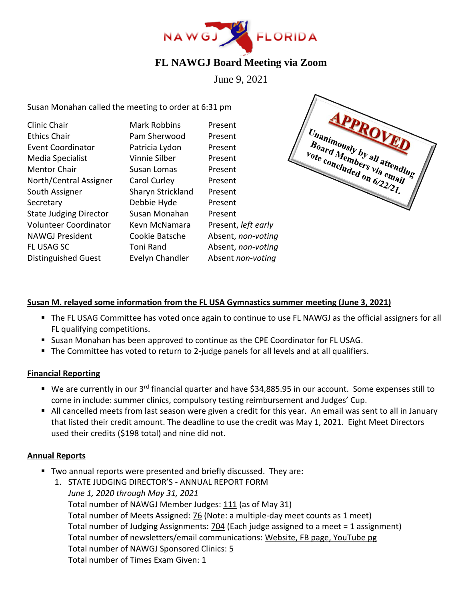

# **FL NAWGJ Board Meeting via Zoom**

June 9, 2021

Susan Monahan called the meeting to order at 6:31 pm

| Clinic Chair                  | <b>Mark Robbins</b> | Present             |
|-------------------------------|---------------------|---------------------|
| <b>Ethics Chair</b>           | Pam Sherwood        | Present             |
| <b>Event Coordinator</b>      | Patricia Lydon      | Present             |
| Media Specialist              | Vinnie Silber       | Present             |
| <b>Mentor Chair</b>           | Susan Lomas         | Present             |
| North/Central Assigner        | Carol Curley        | Present             |
| South Assigner                | Sharyn Strickland   | Present             |
| Secretary                     | Debbie Hyde         | Present             |
| <b>State Judging Director</b> | Susan Monahan       | Present             |
| <b>Volunteer Coordinator</b>  | Kevn McNamara       | Present, left early |
| <b>NAWGJ President</b>        | Cookie Batsche      | Absent, non-voting  |
| FL USAG SC                    | Toni Rand           | Absent, non-voting  |
| <b>Distinguished Guest</b>    | Evelyn Chandler     | Absent non-voting   |



## **Susan M. relayed some information from the FL USA Gymnastics summer meeting (June 3, 2021)**

- The FL USAG Committee has voted once again to continue to use FL NAWGJ as the official assigners for all FL qualifying competitions.
- Susan Monahan has been approved to continue as the CPE Coordinator for FL USAG.
- The Committee has voted to return to 2-judge panels for all levels and at all qualifiers.

#### **Financial Reporting**

- We are currently in our 3<sup>rd</sup> financial quarter and have \$34,885.95 in our account. Some expenses still to come in include: summer clinics, compulsory testing reimbursement and Judges' Cup.
- All cancelled meets from last season were given a credit for this year. An email was sent to all in January that listed their credit amount. The deadline to use the credit was May 1, 2021. Eight Meet Directors used their credits (\$198 total) and nine did not.

#### **Annual Reports**

- Two annual reports were presented and briefly discussed. They are:
	- 1. STATE JUDGING DIRECTOR'S ANNUAL REPORT FORM *June 1, 2020 through May 31, 2021* Total number of NAWGJ Member Judges: 111 (as of May 31) Total number of Meets Assigned: 76 (Note: a multiple-day meet counts as 1 meet) Total number of Judging Assignments: 704 (Each judge assigned to a meet = 1 assignment) Total number of newsletters/email communications: Website, FB page, YouTube pg Total number of NAWGJ Sponsored Clinics: 5 Total number of Times Exam Given: 1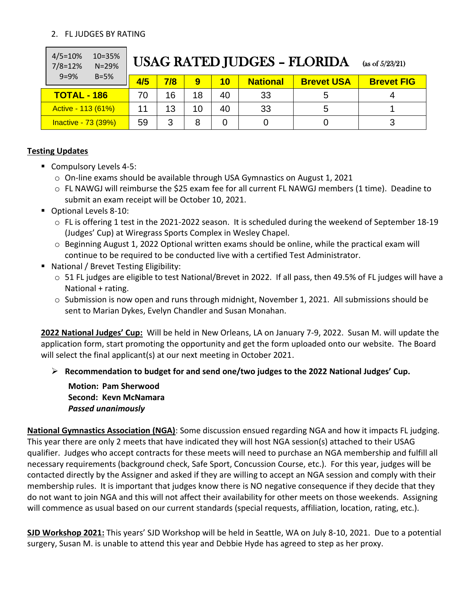## 2. FL JUDGES BY RATING

| $4/5 = 10%$<br>10=35%<br>$7/8 = 12%$<br>$N = 29%$ | <b>USAG RATED JUDGES - FLORIDA</b><br>(as of $5/23/21$ ) |     |                 |           |                 |                   |                   |
|---------------------------------------------------|----------------------------------------------------------|-----|-----------------|-----------|-----------------|-------------------|-------------------|
| $9 = 9%$<br>$B=5%$                                | 4/5                                                      | 7/8 | 9               | <b>10</b> | <b>National</b> | <b>Brevet USA</b> | <b>Brevet FIG</b> |
| <b>TOTAL - 186</b>                                | 70                                                       | 16  | 18              | 40        | 33              |                   |                   |
| Active - 113 (61%)                                |                                                          | 13  | 10 <sup>°</sup> | 40        | 33              | 5                 |                   |
| Inactive - 73 (39%)                               | 59                                                       | 3   | 8               | 0         |                 |                   |                   |

## **Testing Updates**

- Compulsory Levels 4-5:
	- $\circ$  On-line exams should be available through USA Gymnastics on August 1, 2021
	- o FL NAWGJ will reimburse the \$25 exam fee for all current FL NAWGJ members (1 time). Deadine to submit an exam receipt will be October 10, 2021.
- Optional Levels 8-10:
	- $\circ$  FL is offering 1 test in the 2021-2022 season. It is scheduled during the weekend of September 18-19 (Judges' Cup) at Wiregrass Sports Complex in Wesley Chapel.
	- o Beginning August 1, 2022 Optional written exams should be online, while the practical exam will continue to be required to be conducted live with a certified Test Administrator.
- National / Brevet Testing Eligibility:
	- o 51 FL judges are eligible to test National/Brevet in 2022. If all pass, then 49.5% of FL judges will have a National + rating.
	- $\circ$  Submission is now open and runs through midnight, November 1, 2021. All submissions should be sent to Marian Dykes, Evelyn Chandler and Susan Monahan.

**2022 National Judges' Cup:** Will be held in New Orleans, LA on January 7-9, 2022. Susan M. will update the application form, start promoting the opportunity and get the form uploaded onto our website. The Board will select the final applicant(s) at our next meeting in October 2021.

➢ **Recommendation to budget for and send one/two judges to the 2022 National Judges' Cup.** 

**Motion: Pam Sherwood Second: Kevn McNamara** *Passed unanimously*

**National Gymnastics Association (NGA)**: Some discussion ensued regarding NGA and how it impacts FL judging. This year there are only 2 meets that have indicated they will host NGA session(s) attached to their USAG qualifier. Judges who accept contracts for these meets will need to purchase an NGA membership and fulfill all necessary requirements (background check, Safe Sport, Concussion Course, etc.). For this year, judges will be contacted directly by the Assigner and asked if they are willing to accept an NGA session and comply with their membership rules. It is important that judges know there is NO negative consequence if they decide that they do not want to join NGA and this will not affect their availability for other meets on those weekends. Assigning will commence as usual based on our current standards (special requests, affiliation, location, rating, etc.).

**SJD Workshop 2021:** This years' SJD Workshop will be held in Seattle, WA on July 8-10, 2021. Due to a potential surgery, Susan M. is unable to attend this year and Debbie Hyde has agreed to step as her proxy.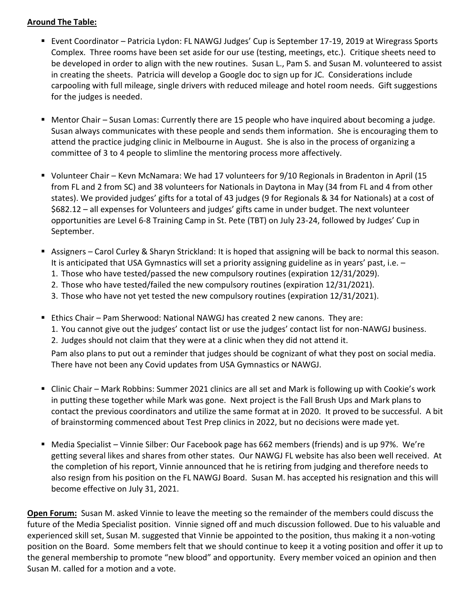### **Around The Table:**

- Event Coordinator Patricia Lydon: FL NAWGJ Judges' Cup is September 17-19, 2019 at Wiregrass Sports Complex. Three rooms have been set aside for our use (testing, meetings, etc.). Critique sheets need to be developed in order to align with the new routines. Susan L., Pam S. and Susan M. volunteered to assist in creating the sheets. Patricia will develop a Google doc to sign up for JC. Considerations include carpooling with full mileage, single drivers with reduced mileage and hotel room needs. Gift suggestions for the judges is needed.
- Mentor Chair Susan Lomas: Currently there are 15 people who have inquired about becoming a judge. Susan always communicates with these people and sends them information. She is encouraging them to attend the practice judging clinic in Melbourne in August. She is also in the process of organizing a committee of 3 to 4 people to slimline the mentoring process more affectively.
- Volunteer Chair Kevn McNamara: We had 17 volunteers for 9/10 Regionals in Bradenton in April (15 from FL and 2 from SC) and 38 volunteers for Nationals in Daytona in May (34 from FL and 4 from other states). We provided judges' gifts for a total of 43 judges (9 for Regionals & 34 for Nationals) at a cost of \$682.12 – all expenses for Volunteers and judges' gifts came in under budget. The next volunteer opportunities are Level 6-8 Training Camp in St. Pete (TBT) on July 23-24, followed by Judges' Cup in September.
- Assigners Carol Curley & Sharyn Strickland: It is hoped that assigning will be back to normal this season. It is anticipated that USA Gymnastics will set a priority assigning guideline as in years' past, i.e. –
	- 1. Those who have tested/passed the new compulsory routines (expiration 12/31/2029).
	- 2. Those who have tested/failed the new compulsory routines (expiration 12/31/2021).
	- 3. Those who have not yet tested the new compulsory routines (expiration 12/31/2021).
- Ethics Chair Pam Sherwood: National NAWGJ has created 2 new canons. They are:
	- 1. You cannot give out the judges' contact list or use the judges' contact list for non-NAWGJ business.
	- 2. Judges should not claim that they were at a clinic when they did not attend it.

Pam also plans to put out a reminder that judges should be cognizant of what they post on social media. There have not been any Covid updates from USA Gymnastics or NAWGJ.

- Clinic Chair Mark Robbins: Summer 2021 clinics are all set and Mark is following up with Cookie's work in putting these together while Mark was gone. Next project is the Fall Brush Ups and Mark plans to contact the previous coordinators and utilize the same format at in 2020. It proved to be successful. A bit of brainstorming commenced about Test Prep clinics in 2022, but no decisions were made yet.
- Media Specialist Vinnie Silber: Our Facebook page has 662 members (friends) and is up 97%. We're getting several likes and shares from other states. Our NAWGJ FL website has also been well received. At the completion of his report, Vinnie announced that he is retiring from judging and therefore needs to also resign from his position on the FL NAWGJ Board. Susan M. has accepted his resignation and this will become effective on July 31, 2021.

**Open Forum:** Susan M. asked Vinnie to leave the meeting so the remainder of the members could discuss the future of the Media Specialist position. Vinnie signed off and much discussion followed. Due to his valuable and experienced skill set, Susan M. suggested that Vinnie be appointed to the position, thus making it a non-voting position on the Board. Some members felt that we should continue to keep it a voting position and offer it up to the general membership to promote "new blood" and opportunity. Every member voiced an opinion and then Susan M. called for a motion and a vote.